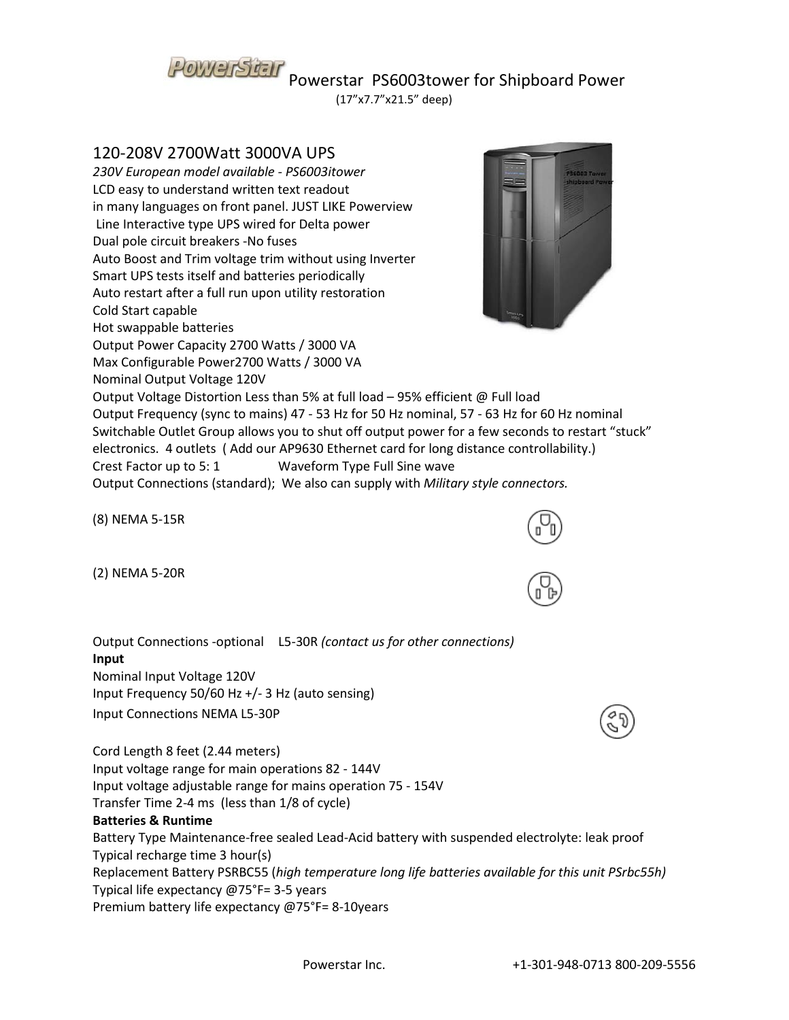# POWETSTEIT Powerstar PS6003tower for Shipboard Power

(17"x7.7"x21.5" deep)

## 120-208V 2700Watt 3000VA UPS

*230V European model available - PS6003itower* LCD easy to understand written text readout in many languages on front panel. JUST LIKE Powerview Line Interactive type UPS wired for Delta power Dual pole circuit breakers -No fuses Auto Boost and Trim voltage trim without using Inverter Smart UPS tests itself and batteries periodically Auto restart after a full run upon utility restoration Cold Start capable Hot swappable batteries Output Power Capacity 2700 Watts / 3000 VA Max Configurable Power2700 Watts / 3000 VA Nominal Output Voltage 120V Output Voltage Distortion Less than 5% at full load – 95% efficient @ Full load Output Frequency (sync to mains) 47 - 53 Hz for 50 Hz nominal, 57 - 63 Hz for 60 Hz nominal Switchable Outlet Group allows you to shut off output power for a few seconds to restart "stuck" electronics. 4 outlets ( Add our AP9630 Ethernet card for long distance controllability.) Crest Factor up to 5: 1 Waveform Type Full Sine wave



(8) NEMA 5-15R

(2) NEMA 5-20R

Output Connections -optional L5-30R *(contact us for other connections)*  **Input** Nominal Input Voltage 120V Input Frequency 50/60 Hz +/- 3 Hz (auto sensing) Input Connections NEMA L5-30P

Cord Length 8 feet (2.44 meters) Input voltage range for main operations 82 - 144V Input voltage adjustable range for mains operation 75 - 154V Transfer Time 2-4 ms (less than 1/8 of cycle) **Batteries & Runtime** Battery Type Maintenance-free sealed Lead-Acid battery with suspended electrolyte: leak proof Typical recharge time 3 hour(s) Replacement Battery PSRBC55 (*high temperature long life batteries available for this unit PSrbc55h)* Typical life expectancy @75°F= 3-5 years Premium battery life expectancy @75°F= 8-10years



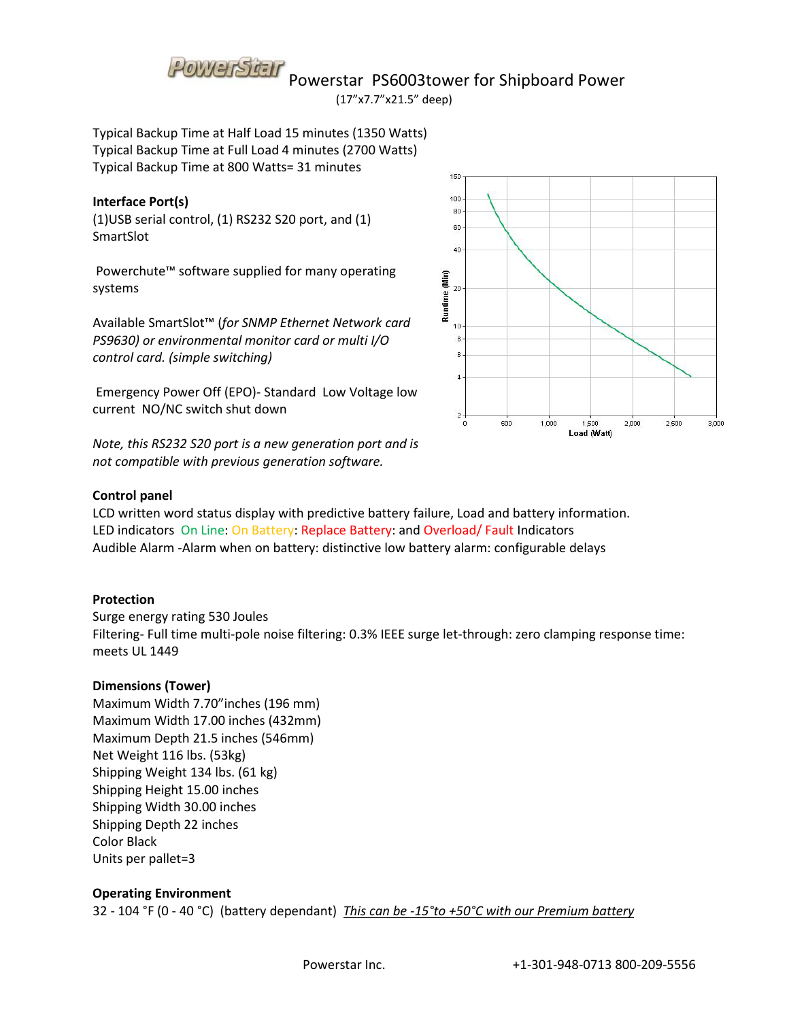

POWETSTEIT Powerstar PS6003tower for Shipboard Power

(17"x7.7"x21.5" deep)

Typical Backup Time at Half Load 15 minutes (1350 Watts) Typical Backup Time at Full Load 4 minutes (2700 Watts) Typical Backup Time at 800 Watts= 31 minutes

#### **Interface Port(s)**

(1)USB serial control, (1) RS232 S20 port, and (1) SmartSlot

Powerchute™ software supplied for many operating systems

Available SmartSlot™ (*for SNMP Ethernet Network card PS9630) or environmental monitor card or multi I/O control card. (simple switching)* 

Emergency Power Off (EPO)- Standard Low Voltage low current NO/NC switch shut down

*Note, this RS232 S20 port is a new generation port and is not compatible with previous generation software.*



#### **Control panel**

LCD written word status display with predictive battery failure, Load and battery information. LED indicators On Line: On Battery: Replace Battery: and Overload/ Fault Indicators Audible Alarm -Alarm when on battery: distinctive low battery alarm: configurable delays

#### **Protection**

Surge energy rating 530 Joules Filtering- Full time multi-pole noise filtering: 0.3% IEEE surge let-through: zero clamping response time: meets UL 1449

### **Dimensions (Tower)**

Maximum Width 7.70"inches (196 mm) Maximum Width 17.00 inches (432mm) Maximum Depth 21.5 inches (546mm) Net Weight 116 lbs. (53kg) Shipping Weight 134 lbs. (61 kg) Shipping Height 15.00 inches Shipping Width 30.00 inches Shipping Depth 22 inches Color Black Units per pallet=3

### **Operating Environment**

32 - 104 °F (0 - 40 °C) (battery dependant) *This can be -15°to +50°C with our Premium battery*